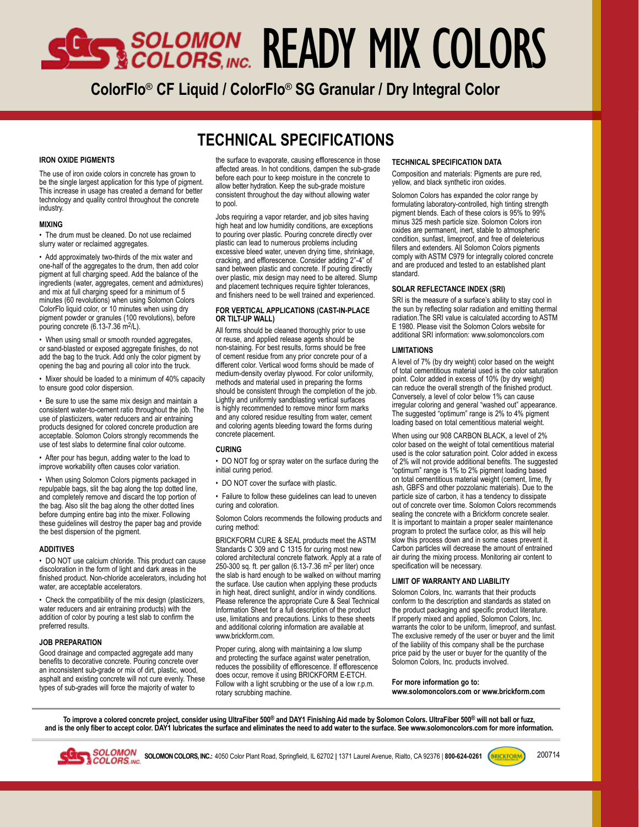# SES SOLOMON READY MIX COLORS

**ColorFlo**® **CF Liquid / ColorFlo**® **SG Granular / Dry Integral Color**

### **TECHNICAL SPECIFICATIONS**

#### **IRON OXIDE PIGMENTS**

The use of iron oxide colors in concrete has grown to be the single largest application for this type of pigment. This increase in usage has created a demand for better technology and quality control throughout the concrete industry.

#### **MIXING**

• The drum must be cleaned. Do not use reclaimed slurry water or reclaimed aggregates.

• Add approximately two-thirds of the mix water and one-half of the aggregates to the drum, then add color pigment at full charging speed. Add the balance of the ingredients (water, aggregates, cement and admixtures) and mix at full charging speed for a minimum of 5 minutes (60 revolutions) when using Solomon Colors ColorFlo liquid color, or 10 minutes when using dry pigment powder or granules (100 revolutions), before pouring concrete  $(6.13-7.36 \text{ m}^2/\text{L})$ .

• When using small or smooth rounded aggregates, or sand-blasted or exposed aggregate finishes, do not add the bag to the truck. Add only the color pigment by opening the bag and pouring all color into the truck.

• Mixer should be loaded to a minimum of 40% capacity to ensure good color dispersion.

• Be sure to use the same mix design and maintain a consistent water-to-cement ratio throughout the job. The use of plasticizers, water reducers and air entraining products designed for colored concrete production are acceptable. Solomon Colors strongly recommends the use of test slabs to determine final color outcome.

• After pour has begun, adding water to the load to improve workability often causes color variation.

• When using Solomon Colors pigments packaged in repulpable bags, slit the bag along the top dotted line, and completely remove and discard the top portion of the bag. Also slit the bag along the other dotted lines before dumping entire bag into the mixer. Following these guidelines will destroy the paper bag and provide the best dispersion of the pigment.

#### **ADDITIVES**

• DO NOT use calcium chloride. This product can cause discoloration in the form of light and dark areas in the finished product. Non-chloride accelerators, including hot water, are acceptable accelerators.

• Check the compatibility of the mix design (plasticizers, water reducers and air entraining products) with the addition of color by pouring a test slab to confirm the preferred results.

#### **JOB PREPARATION**

Good drainage and compacted aggregate add many benefits to decorative concrete. Pouring concrete over an inconsistent sub-grade or mix of dirt, plastic, wood, asphalt and existing concrete will not cure evenly. These types of sub-grades will force the majority of water to

the surface to evaporate, causing efflorescence in those affected areas. In hot conditions, dampen the sub-grade before each pour to keep moisture in the concrete to allow better hydration. Keep the sub-grade moisture consistent throughout the day without allowing water to pool.

Jobs requiring a vapor retarder, and job sites having high heat and low humidity conditions, are exceptions to pouring over plastic. Pouring concrete directly over plastic can lead to numerous problems including excessive bleed water, uneven drying time, shrinkage, cracking, and efflorescence. Consider adding 2"-4" of sand between plastic and concrete. If pouring directly over plastic, mix design may need to be altered. Slump and placement techniques require tighter tolerances, and finishers need to be well trained and experienced.

#### **FOR VERTICAL APPLICATIONS (CAST-IN-PLACE OR TILT-UP WALL)**

All forms should be cleaned thoroughly prior to use or reuse, and applied release agents should be non-staining. For best results, forms should be free of cement residue from any prior concrete pour of a different color. Vertical wood forms should be made of medium-density overlay plywood. For color uniformity, methods and material used in preparing the forms should be consistent through the completion of the job. Lightly and uniformly sandblasting vertical surfaces is highly recommended to remove minor form marks and any colored residue resulting from water, cement and coloring agents bleeding toward the forms during concrete placement.

#### **CURING**

• DO NOT fog or spray water on the surface during the initial curing period.

• DO NOT cover the surface with plastic.

• Failure to follow these guidelines can lead to uneven curing and coloration.

Solomon Colors recommends the following products and curing method:

BRICKFORM CURE & SEAL products meet the ASTM Standards C 309 and C 1315 for curing most new colored architectural concrete flatwork. Apply at a rate of 250-300 sq. ft. per gallon (6.13-7.36 m2 per liter) once the slab is hard enough to be walked on without marring the surface. Use caution when applying these products in high heat, direct sunlight, and/or in windy conditions. Please reference the appropriate Cure & Seal Technical Information Sheet for a full description of the product use, limitations and precautions. Links to these sheets and additional coloring information are available at www.brickform.com.

Proper curing, along with maintaining a low slump and protecting the surface against water penetration, reduces the possibility of efflorescence. If efflorescence does occur, remove it using BRICKFORM E-ETCH. Follow with a light scrubbing or the use of a low r.p.m. rotary scrubbing machine.

#### **TECHNICAL SPECIFICATION DATA**

Composition and materials: Pigments are pure red, yellow, and black synthetic iron oxides.

Solomon Colors has expanded the color range by formulating laboratory-controlled, high tinting strength pigment blends. Each of these colors is 95% to 99% minus 325 mesh particle size. Solomon Colors iron oxides are permanent, inert, stable to atmospheric condition, sunfast, limeproof, and free of deleterious fillers and extenders. All Solomon Colors pigments comply with ASTM C979 for integrally colored concrete and are produced and tested to an established plant standard.

#### **SOLAR REFLECTANCE INDEX (SRI)**

SRI is the measure of a surface's ability to stay cool in the sun by reflecting solar radiation and emitting thermal radiation.The SRI value is calculated according to ASTM E 1980. Please visit the Solomon Colors website for additional SRI information: www.solomoncolors.com

#### **LIMITATIONS**

A level of 7% (by dry weight) color based on the weight of total cementitious material used is the color saturation point. Color added in excess of 10% (by dry weight) can reduce the overall strength of the finished product. Conversely, a level of color below 1% can cause irregular coloring and general "washed out" appearance. The suggested "optimum" range is 2% to 4% pigment loading based on total cementitious material weight.

When using our 908 CARBON BLACK, a level of 2% color based on the weight of total cementitious material used is the color saturation point. Color added in excess of 2% will not provide additional benefits. The suggested "optimum" range is 1% to 2% pigment loading based on total cementitious material weight (cement, lime, fly ash, GBFS and other pozzolanic materials). Due to the particle size of carbon, it has a tendency to dissipate out of concrete over time. Solomon Colors recommends sealing the concrete with a Brickform concrete sealer. It is important to maintain a proper sealer maintenance program to protect the surface color, as this will help slow this process down and in some cases prevent it. Carbon particles will decrease the amount of entrained air during the mixing process. Monitoring air content to specification will be necessary.

#### **LIMIT OF WARRANTY AND LIABILITY**

Solomon Colors, Inc. warrants that their products conform to the description and standards as stated on the product packaging and specific product literature. If properly mixed and applied, Solomon Colors, Inc. warrants the color to be uniform, limeproof, and sunfast. The exclusive remedy of the user or buyer and the limit of the liability of this company shall be the purchase price paid by the user or buyer for the quantity of the Solomon Colors, Inc. products involved.

#### **For more information go to:**

**www.solomoncolors.com or www.brickform.com**

**To improve a colored concrete project, consider using UltraFiber 500® and DAY1 Finishing Aid made by Solomon Colors. UltraFiber 500® will not ball or fuzz, and is the only fiber to accept color. DAY1 lubricates the surface and eliminates the need to add water to the surface. See www.solomoncolors.com for more information.**



SOLOMON SOLOMON COLORS, INC.: 4050 Color Plant Road, Springfield, IL 62702 | 1371 Laurel Avenue, Rialto, CA 92376 | 800-624-0261 **COLORS, INC.: 4050 COLORS, INC.: 4050 COLORS** 

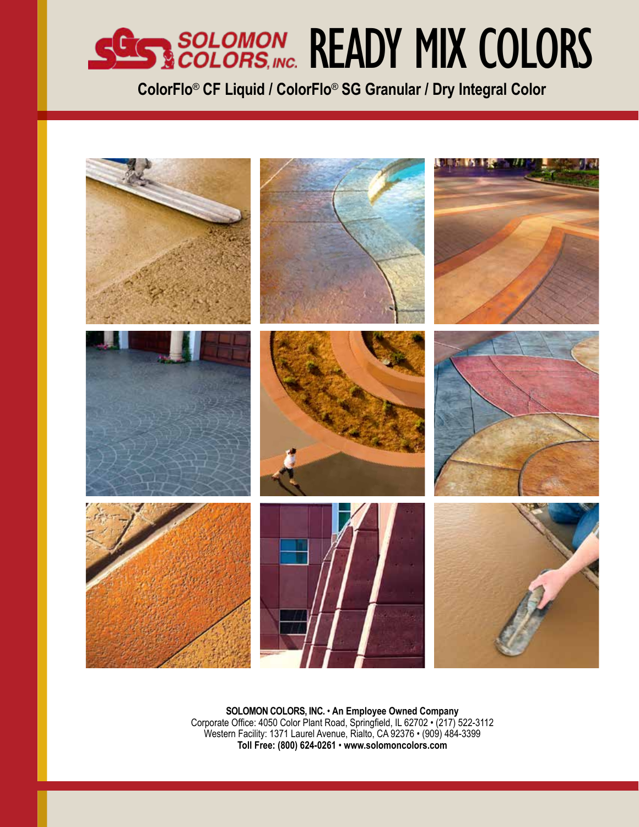### SCIED SOLOMON READY MIX COLORS

**ColorFlo**® **CF Liquid / ColorFlo**® **SG Granular / Dry Integral Color**



**SOLOMON COLORS, INC.** • **An Employee Owned Company**  Corporate Office: 4050 Color Plant Road, Springfield, IL 62702 • (217) 522-3112 Western Facility: 1371 Laurel Avenue, Rialto, CA 92376 • (909) 484-3399 **Toll Free: (800) 624-0261** • **www.solomoncolors.com**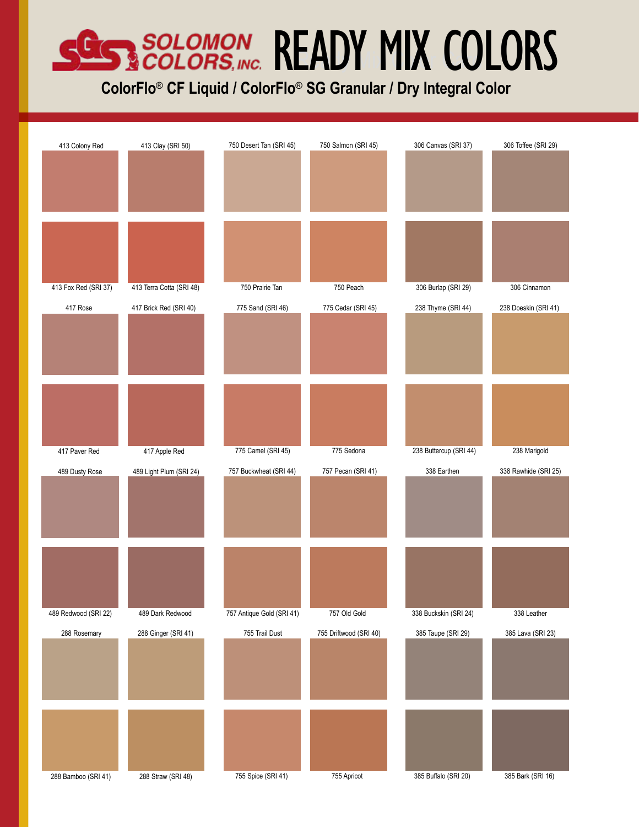## SCIENCIAL READY MIX COLORS

**ColorFlo**® **CF Liquid / ColorFlo**® **SG Granular / Dry Integral Color**